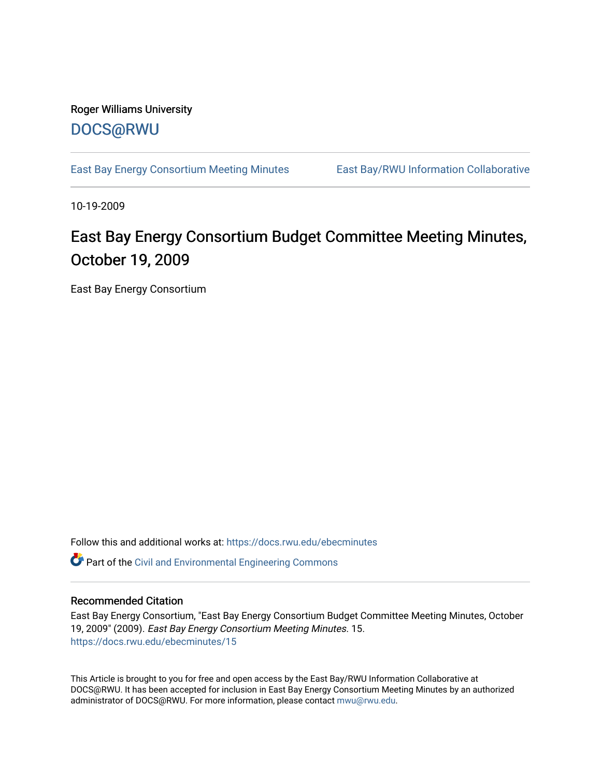## Roger Williams University [DOCS@RWU](https://docs.rwu.edu/)

[East Bay Energy Consortium Meeting Minutes](https://docs.rwu.edu/ebecminutes) East Bay/RWU Information Collaborative

10-19-2009

## East Bay Energy Consortium Budget Committee Meeting Minutes, October 19, 2009

East Bay Energy Consortium

Follow this and additional works at: [https://docs.rwu.edu/ebecminutes](https://docs.rwu.edu/ebecminutes?utm_source=docs.rwu.edu%2Febecminutes%2F15&utm_medium=PDF&utm_campaign=PDFCoverPages) 

Part of the [Civil and Environmental Engineering Commons](http://network.bepress.com/hgg/discipline/251?utm_source=docs.rwu.edu%2Febecminutes%2F15&utm_medium=PDF&utm_campaign=PDFCoverPages)

## Recommended Citation

East Bay Energy Consortium, "East Bay Energy Consortium Budget Committee Meeting Minutes, October 19, 2009" (2009). East Bay Energy Consortium Meeting Minutes. 15. [https://docs.rwu.edu/ebecminutes/15](https://docs.rwu.edu/ebecminutes/15?utm_source=docs.rwu.edu%2Febecminutes%2F15&utm_medium=PDF&utm_campaign=PDFCoverPages)

This Article is brought to you for free and open access by the East Bay/RWU Information Collaborative at DOCS@RWU. It has been accepted for inclusion in East Bay Energy Consortium Meeting Minutes by an authorized administrator of DOCS@RWU. For more information, please contact [mwu@rwu.edu](mailto:mwu@rwu.edu).